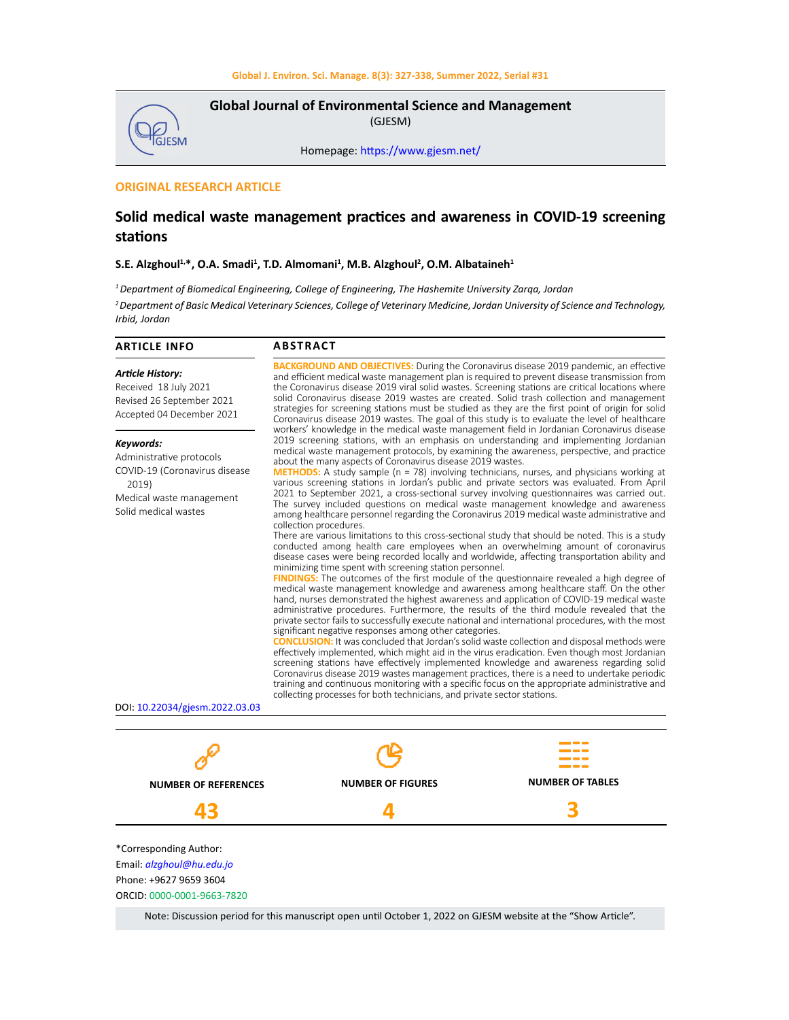

**Global Journal of Environmental Science and Management**  (GJESM)

Homepage: [https://www.gjesm.net/](https://www.gjesm.net/ )

# **ORIGINAL RESEARCH ARTICLE**

# **Solid medical waste management practices and awareness in COVID-19 screening stations**

## S.E. Alzghoul<sup>1,</sup>\*, O.A. Smadi<sup>1</sup>, T.D. Almomani<sup>1</sup>, M.B. Alzghoul<sup>2</sup>, O.M. Albataineh<sup>1</sup>

*1 Department of Biomedical Engineering, College of Engineering, The Hashemite University Zarqa, Jordan*

*2 Department of Basic Medical Veterinary Sciences, College of Veterinary Medicine, Jordan University of Science and Technology, Irbid, Jordan*

| <b>ARTICLE INFO</b>                                                                                                                                                   | <b>ABSTRACT</b>                                                                                                                                                                                                                                                                                                                                                                                                                                                                                                                                                                                                                                                                                                                                                                                                                                                                                                                                                                                                                                                                                                                                                                                                                                                                                                                                                                                                                                                                                                                                                                                                                                                                                                                                                                                                                                                                                                                                                                                                                                                                                                                                                                                                                                         |                         |  |  |  |  |
|-----------------------------------------------------------------------------------------------------------------------------------------------------------------------|---------------------------------------------------------------------------------------------------------------------------------------------------------------------------------------------------------------------------------------------------------------------------------------------------------------------------------------------------------------------------------------------------------------------------------------------------------------------------------------------------------------------------------------------------------------------------------------------------------------------------------------------------------------------------------------------------------------------------------------------------------------------------------------------------------------------------------------------------------------------------------------------------------------------------------------------------------------------------------------------------------------------------------------------------------------------------------------------------------------------------------------------------------------------------------------------------------------------------------------------------------------------------------------------------------------------------------------------------------------------------------------------------------------------------------------------------------------------------------------------------------------------------------------------------------------------------------------------------------------------------------------------------------------------------------------------------------------------------------------------------------------------------------------------------------------------------------------------------------------------------------------------------------------------------------------------------------------------------------------------------------------------------------------------------------------------------------------------------------------------------------------------------------------------------------------------------------------------------------------------------------|-------------------------|--|--|--|--|
| <b>Article History:</b><br>Received 18 July 2021<br>Revised 26 September 2021<br>Accepted 04 December 2021                                                            | <b>BACKGROUND AND OBJECTIVES:</b> During the Coronavirus disease 2019 pandemic, an effective<br>and efficient medical waste management plan is required to prevent disease transmission from<br>the Coronavirus disease 2019 viral solid wastes. Screening stations are critical locations where<br>solid Coronavirus disease 2019 wastes are created. Solid trash collection and management<br>strategies for screening stations must be studied as they are the first point of origin for solid<br>Coronavirus disease 2019 wastes. The goal of this study is to evaluate the level of healthcare<br>workers' knowledge in the medical waste management field in Jordanian Coronavirus disease                                                                                                                                                                                                                                                                                                                                                                                                                                                                                                                                                                                                                                                                                                                                                                                                                                                                                                                                                                                                                                                                                                                                                                                                                                                                                                                                                                                                                                                                                                                                                        |                         |  |  |  |  |
| Keywords:<br>Administrative protocols<br>COVID-19 (Coronavirus disease<br>2019)<br>Medical waste management<br>Solid medical wastes<br>DOI: 10.22034/gjesm.2022.03.03 | 2019 screening stations, with an emphasis on understanding and implementing Jordanian<br>medical waste management protocols, by examining the awareness, perspective, and practice<br>about the many aspects of Coronavirus disease 2019 wastes.<br><b>METHODS:</b> A study sample (n = 78) involving technicians, nurses, and physicians working at<br>various screening stations in Jordan's public and private sectors was evaluated. From April<br>2021 to September 2021, a cross-sectional survey involving questionnaires was carried out.<br>The survey included questions on medical waste management knowledge and awareness<br>among healthcare personnel regarding the Coronavirus 2019 medical waste administrative and<br>collection procedures.<br>There are various limitations to this cross-sectional study that should be noted. This is a study<br>conducted among health care employees when an overwhelming amount of coronavirus<br>disease cases were being recorded locally and worldwide, affecting transportation ability and<br>minimizing time spent with screening station personnel.<br><b>FINDINGS:</b> The outcomes of the first module of the questionnaire revealed a high degree of<br>medical waste management knowledge and awareness among healthcare staff. On the other<br>hand, nurses demonstrated the highest awareness and application of COVID-19 medical waste<br>administrative procedures. Furthermore, the results of the third module revealed that the<br>private sector fails to successfully execute national and international procedures, with the most<br>significant negative responses among other categories.<br><b>CONCLUSION:</b> It was concluded that Jordan's solid waste collection and disposal methods were<br>effectively implemented, which might aid in the virus eradication. Even though most Jordanian<br>screening stations have effectively implemented knowledge and awareness regarding solid<br>Coronavirus disease 2019 wastes management practices, there is a need to undertake periodic<br>training and continuous monitoring with a specific focus on the appropriate administrative and<br>collecting processes for both technicians, and private sector stations. |                         |  |  |  |  |
|                                                                                                                                                                       |                                                                                                                                                                                                                                                                                                                                                                                                                                                                                                                                                                                                                                                                                                                                                                                                                                                                                                                                                                                                                                                                                                                                                                                                                                                                                                                                                                                                                                                                                                                                                                                                                                                                                                                                                                                                                                                                                                                                                                                                                                                                                                                                                                                                                                                         |                         |  |  |  |  |
|                                                                                                                                                                       |                                                                                                                                                                                                                                                                                                                                                                                                                                                                                                                                                                                                                                                                                                                                                                                                                                                                                                                                                                                                                                                                                                                                                                                                                                                                                                                                                                                                                                                                                                                                                                                                                                                                                                                                                                                                                                                                                                                                                                                                                                                                                                                                                                                                                                                         |                         |  |  |  |  |
| <b>NUMBER OF REFERENCES</b>                                                                                                                                           | <b>NUMBER OF FIGURES</b>                                                                                                                                                                                                                                                                                                                                                                                                                                                                                                                                                                                                                                                                                                                                                                                                                                                                                                                                                                                                                                                                                                                                                                                                                                                                                                                                                                                                                                                                                                                                                                                                                                                                                                                                                                                                                                                                                                                                                                                                                                                                                                                                                                                                                                | <b>NUMBER OF TABLES</b> |  |  |  |  |
| 43                                                                                                                                                                    |                                                                                                                                                                                                                                                                                                                                                                                                                                                                                                                                                                                                                                                                                                                                                                                                                                                                                                                                                                                                                                                                                                                                                                                                                                                                                                                                                                                                                                                                                                                                                                                                                                                                                                                                                                                                                                                                                                                                                                                                                                                                                                                                                                                                                                                         |                         |  |  |  |  |
| *Corresponding Author:<br>Email: alzghoul@hu.edu.jo<br>Phone: +9627 9659 3604<br>ORCID: 0000-0001-9663-7820                                                           |                                                                                                                                                                                                                                                                                                                                                                                                                                                                                                                                                                                                                                                                                                                                                                                                                                                                                                                                                                                                                                                                                                                                                                                                                                                                                                                                                                                                                                                                                                                                                                                                                                                                                                                                                                                                                                                                                                                                                                                                                                                                                                                                                                                                                                                         |                         |  |  |  |  |

Note: Discussion period for this manuscript open until October 1, 2022 on GJESM website at the "Show Article".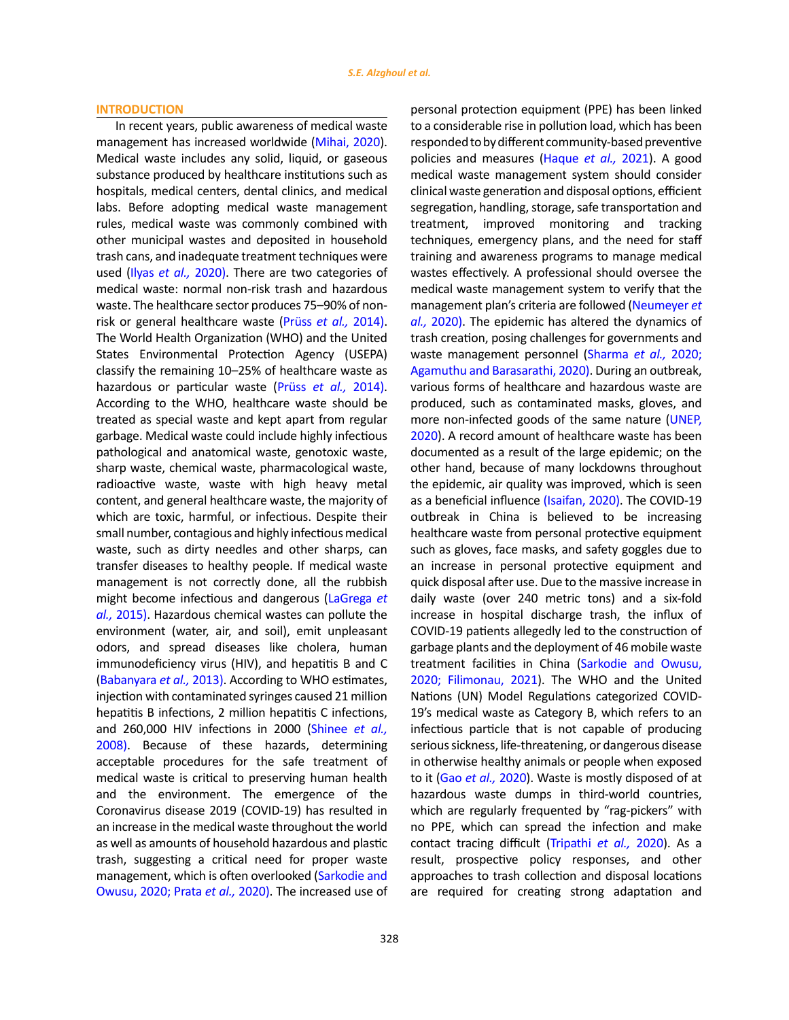#### **INTRODUCTION**

In recent years, public awareness of medical waste management has increased worldwide (Mihai, 2020). Medical waste includes any solid, liquid, or gaseous substance produced by healthcare institutions such as hospitals, medical centers, dental clinics, and medical labs. Before adopting medical waste management rules, medical waste was commonly combined with other municipal wastes and deposited in household trash cans, and inadequate treatment techniques were used (Ilyas *et al.,* 2020). There are two categories of medical waste: normal non-risk trash and hazardous waste. The healthcare sector produces 75–90% of nonrisk or general healthcare waste (Prüss *et al.,* 2014). The World Health Organization (WHO) and the United States Environmental Protection Agency (USEPA) classify the remaining 10–25% of healthcare waste as hazardous or particular waste (Prüss *et al.,* 2014). According to the WHO, healthcare waste should be treated as special waste and kept apart from regular garbage. Medical waste could include highly infectious pathological and anatomical waste, genotoxic waste, sharp waste, chemical waste, pharmacological waste, radioactive waste, waste with high heavy metal content, and general healthcare waste, the majority of which are toxic, harmful, or infectious. Despite their small number, contagious and highly infectious medical waste, such as dirty needles and other sharps, can transfer diseases to healthy people. If medical waste management is not correctly done, all the rubbish might become infectious and dangerous (LaGrega *et al.,* 2015). Hazardous chemical wastes can pollute the environment (water, air, and soil), emit unpleasant odors, and spread diseases like cholera, human immunodeficiency virus (HIV), and hepatitis B and C (Babanyara *et al.,* 2013). According to WHO estimates, injection with contaminated syringes caused 21 million hepatitis B infections, 2 million hepatitis C infections, and 260,000 HIV infections in 2000 (Shinee *et al.,* 2008). Because of these hazards, determining acceptable procedures for the safe treatment of medical waste is critical to preserving human health and the environment. The emergence of the Coronavirus disease 2019 (COVID-19) has resulted in an increase in the medical waste throughout the world as well as amounts of household hazardous and plastic trash, suggesting a critical need for proper waste management, which is often overlooked (Sarkodie and Owusu, 2020; Prata *et al.,* 2020). The increased use of personal protection equipment (PPE) has been linked to a considerable rise in pollution load, which has been responded to by different community-based preventive policies and measures (Haque *et al.,* 2021). A good medical waste management system should consider clinical waste generation and disposal options, efficient segregation, handling, storage, safe transportation and treatment, improved monitoring and tracking techniques, emergency plans, and the need for staff training and awareness programs to manage medical wastes effectively. A professional should oversee the medical waste management system to verify that the management plan's criteria are followed (Neumeyer *et al.,* 2020). The epidemic has altered the dynamics of trash creation, posing challenges for governments and waste management personnel (Sharma *et al.,* 2020; Agamuthu and Barasarathi, 2020). During an outbreak, various forms of healthcare and hazardous waste are produced, such as contaminated masks, gloves, and more non-infected goods of the same nature (UNEP, 2020). A record amount of healthcare waste has been documented as a result of the large epidemic; on the other hand, because of many lockdowns throughout the epidemic, air quality was improved, which is seen as a beneficial influence (Isaifan, 2020). The COVID-19 outbreak in China is believed to be increasing healthcare waste from personal protective equipment such as gloves, face masks, and safety goggles due to an increase in personal protective equipment and quick disposal after use. Due to the massive increase in daily waste (over 240 metric tons) and a six-fold increase in hospital discharge trash, the influx of COVID-19 patients allegedly led to the construction of garbage plants and the deployment of 46 mobile waste treatment facilities in China (Sarkodie and Owusu, 2020; Filimonau, 2021). The WHO and the United Nations (UN) Model Regulations categorized COVID-19's medical waste as Category B, which refers to an infectious particle that is not capable of producing serious sickness, life-threatening, or dangerous disease in otherwise healthy animals or people when exposed to it (Gao *et al.,* 2020). Waste is mostly disposed of at hazardous waste dumps in third-world countries, which are regularly frequented by "rag-pickers" with no PPE, which can spread the infection and make contact tracing difficult (Tripathi *et al.,* 2020). As a result, prospective policy responses, and other approaches to trash collection and disposal locations are required for creating strong adaptation and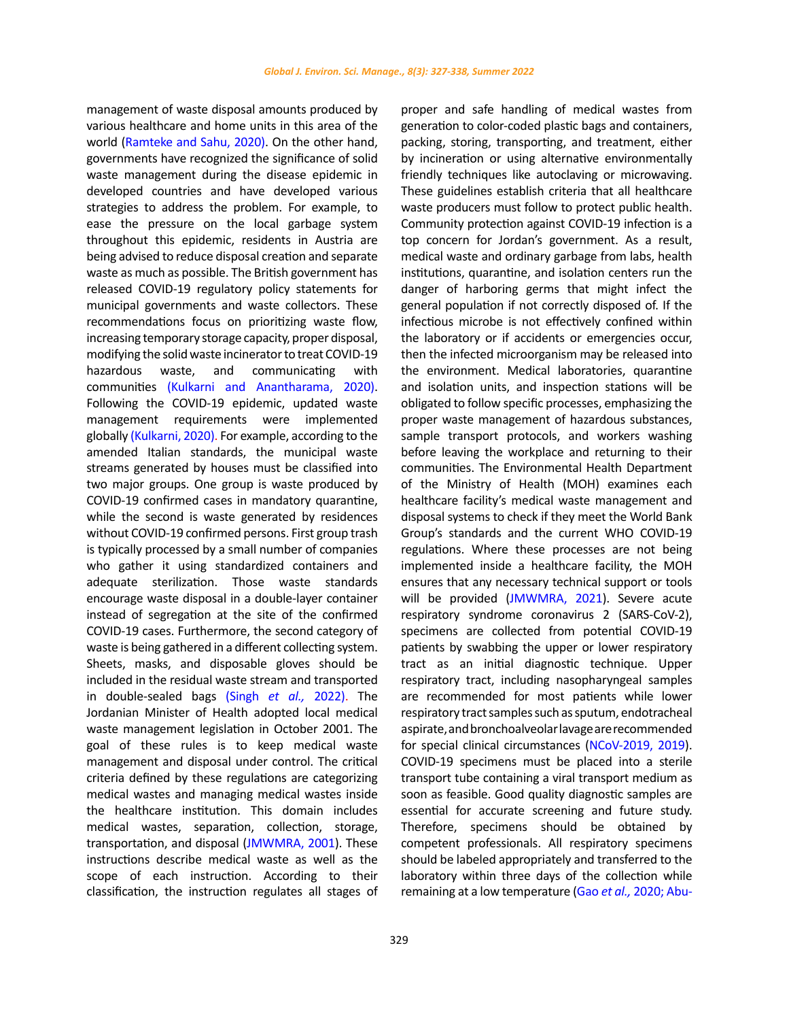management of waste disposal amounts produced by various healthcare and home units in this area of the world (Ramteke and Sahu, 2020). On the other hand, governments have recognized the significance of solid waste management during the disease epidemic in developed countries and have developed various strategies to address the problem. For example, to ease the pressure on the local garbage system throughout this epidemic, residents in Austria are being advised to reduce disposal creation and separate waste as much as possible. The British government has released COVID-19 regulatory policy statements for municipal governments and waste collectors. These recommendations focus on prioritizing waste flow, increasing temporary storage capacity, proper disposal, modifying the solid waste incinerator to treat COVID-19 hazardous waste, and communicating with communities (Kulkarni and Anantharama, 2020). Following the COVID-19 epidemic, updated waste management requirements were implemented globally (Kulkarni, 2020). For example, according to the amended Italian standards, the municipal waste streams generated by houses must be classified into two major groups. One group is waste produced by COVID-19 confirmed cases in mandatory quarantine, while the second is waste generated by residences without COVID-19 confirmed persons. First group trash is typically processed by a small number of companies who gather it using standardized containers and adequate sterilization. Those waste standards encourage waste disposal in a double-layer container instead of segregation at the site of the confirmed COVID-19 cases. Furthermore, the second category of waste is being gathered in a different collecting system. Sheets, masks, and disposable gloves should be included in the residual waste stream and transported in double-sealed bags (Singh *et al.,* 2022). The Jordanian Minister of Health adopted local medical waste management legislation in October 2001. The goal of these rules is to keep medical waste management and disposal under control. The critical criteria defined by these regulations are categorizing medical wastes and managing medical wastes inside the healthcare institution. This domain includes medical wastes, separation, collection, storage, transportation, and disposal (JMWMRA, 2001). These instructions describe medical waste as well as the scope of each instruction. According to their classification, the instruction regulates all stages of

proper and safe handling of medical wastes from generation to color-coded plastic bags and containers, packing, storing, transporting, and treatment, either by incineration or using alternative environmentally friendly techniques like autoclaving or microwaving. These guidelines establish criteria that all healthcare waste producers must follow to protect public health. Community protection against COVID-19 infection is a top concern for Jordan's government. As a result, medical waste and ordinary garbage from labs, health institutions, quarantine, and isolation centers run the danger of harboring germs that might infect the general population if not correctly disposed of. If the infectious microbe is not effectively confined within the laboratory or if accidents or emergencies occur, then the infected microorganism may be released into the environment. Medical laboratories, quarantine and isolation units, and inspection stations will be obligated to follow specific processes, emphasizing the proper waste management of hazardous substances, sample transport protocols, and workers washing before leaving the workplace and returning to their communities. The Environmental Health Department of the Ministry of Health (MOH) examines each healthcare facility's medical waste management and disposal systems to check if they meet the World Bank Group's standards and the current WHO COVID-19 regulations. Where these processes are not being implemented inside a healthcare facility, the MOH ensures that any necessary technical support or tools will be provided (JMWMRA, 2021). Severe acute respiratory syndrome coronavirus 2 (SARS‐CoV‐2), specimens are collected from potential COVID-19 patients by swabbing the upper or lower respiratory tract as an initial diagnostic technique. Upper respiratory tract, including nasopharyngeal samples are recommended for most patients while lower respiratory tract samples such as sputum, endotracheal aspirate, and bronchoalveolar lavage are recommended for special clinical circumstances (NCoV-2019, 2019). COVID-19 specimens must be placed into a sterile transport tube containing a viral transport medium as soon as feasible. Good quality diagnostic samples are essential for accurate screening and future study. Therefore, specimens should be obtained by competent professionals. All respiratory specimens should be labeled appropriately and transferred to the laboratory within three days of the collection while remaining at a low temperature (Gao *et al.,* 2020; Abu-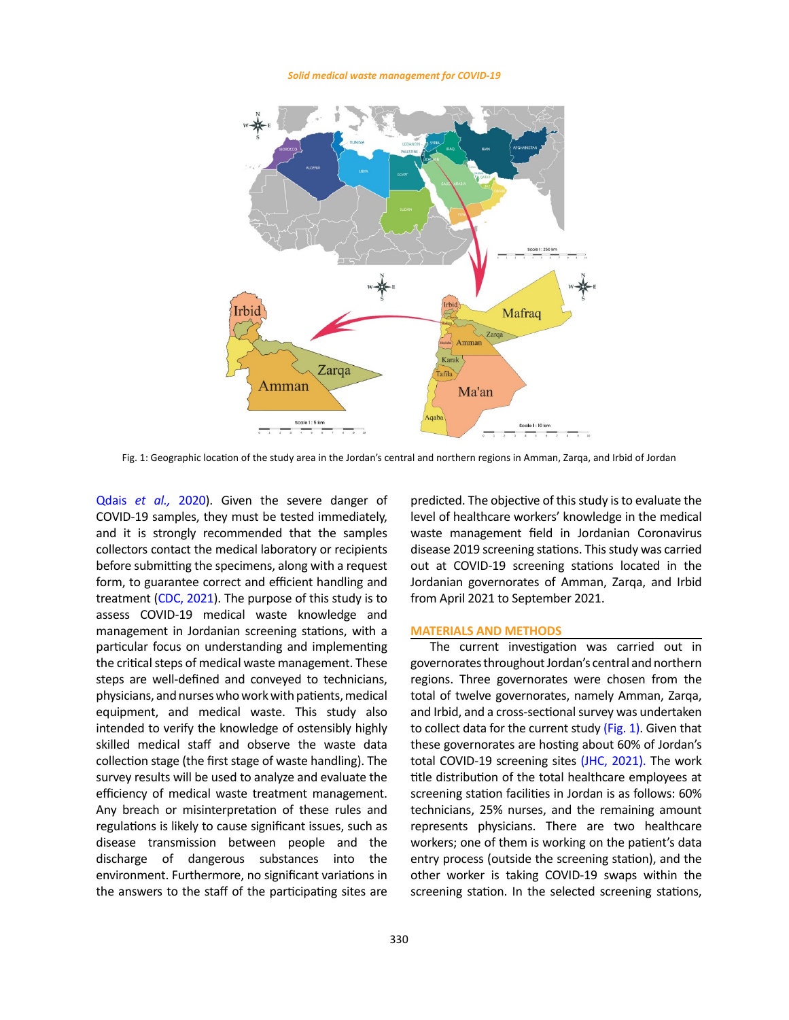#### *Solid medical waste management for COVID-19*



Fig. 1: Geographic location of the study area in the Jordan's central and northern regions in Amman, Zarqa, and Irbid of Jordan

Qdais *et al.,* 2020). Given the severe danger of COVID-19 samples, they must be tested immediately, and it is strongly recommended that the samples collectors contact the medical laboratory or recipients before submitting the specimens, along with a request form, to guarantee correct and efficient handling and treatment (CDC, 2021). The purpose of this study is to assess COVID-19 medical waste knowledge and management in Jordanian screening stations, with a particular focus on understanding and implementing the critical steps of medical waste management. These steps are well-defined and conveyed to technicians, physicians, and nurses who work with patients, medical equipment, and medical waste. This study also intended to verify the knowledge of ostensibly highly skilled medical staff and observe the waste data collection stage (the first stage of waste handling). The survey results will be used to analyze and evaluate the efficiency of medical waste treatment management. Any breach or misinterpretation of these rules and regulations is likely to cause significant issues, such as disease transmission between people and the discharge of dangerous substances into the environment. Furthermore, no significant variations in the answers to the staff of the participating sites are

predicted. The objective of this study is to evaluate the immediately, level of healthcare workers' knowledge in the medical waste management field in Jordanian Coronavirus disease 2019 screening stations. This study was carried out at COVID-19 screening stations located in the Jordanian governorates of Amman, Zarqa, and Irbid from April 2021 to September 2021.

### **MATERIALS AND METHODS**

The current investigation was carried out in governorates throughout Jordan's central and northern regions. Three governorates were chosen from the total of twelve governorates, namely Amman, Zarqa, and Irbid, and a cross-sectional survey was undertaken to collect data for the current study (Fig. 1). Given that these governorates are hosting about 60% of Jordan's total COVID-19 screening sites (JHC, 2021). The work title distribution of the total healthcare employees at screening station facilities in Jordan is as follows: 60% technicians, 25% nurses, and the remaining amount represents physicians. There are two healthcare workers; one of them is working on the patient's data entry process (outside the screening station), and the other worker is taking COVID-19 swaps within the screening station. In the selected screening stations,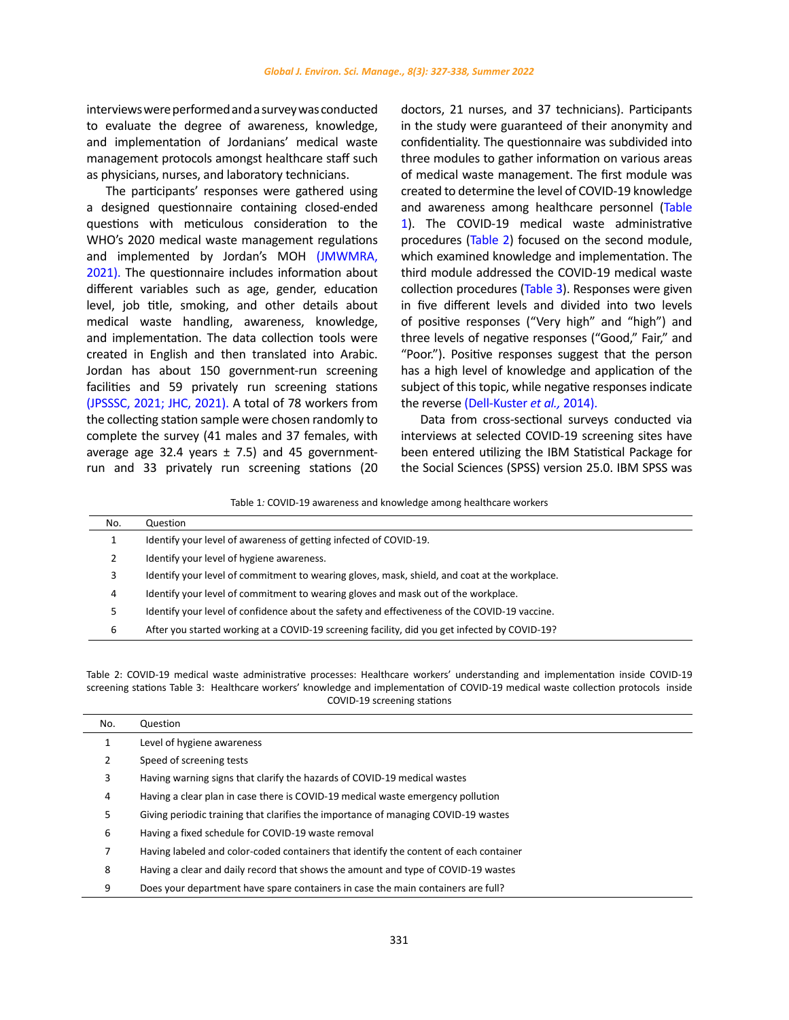interviews were performed and a survey was conducted to evaluate the degree of awareness, knowledge, and implementation of Jordanians' medical waste management protocols amongst healthcare staff such as physicians, nurses, and laboratory technicians.

The participants' responses were gathered using a designed questionnaire containing closed-ended questions with meticulous consideration to the WHO's 2020 medical waste management regulations and implemented by Jordan's MOH (JMWMRA, 2021). The questionnaire includes information about different variables such as age, gender, education level, job title, smoking, and other details about medical waste handling, awareness, knowledge, and implementation. The data collection tools were created in English and then translated into Arabic. Jordan has about 150 government-run screening facilities and 59 privately run screening stations (JPSSSC, 2021; JHC, 2021). A total of 78 workers from the collecting station sample were chosen randomly to complete the survey (41 males and 37 females, with average age 32.4 years  $\pm$  7.5) and 45 governmentrun and 33 privately run screening stations (20 doctors, 21 nurses, and 37 technicians). Participants in the study were guaranteed of their anonymity and confidentiality. The questionnaire was subdivided into three modules to gather information on various areas of medical waste management. The first module was created to determine the level of COVID-19 knowledge and awareness among healthcare personnel (Table 1). The COVID-19 medical waste administrative procedures (Table 2) focused on the second module, which examined knowledge and implementation. The third module addressed the COVID-19 medical waste collection procedures (Table 3). Responses were given in five different levels and divided into two levels of positive responses ("Very high" and "high") and three levels of negative responses ("Good," Fair," and "Poor."). Positive responses suggest that the person has a high level of knowledge and application of the subject of this topic, while negative responses indicate the reverse (Dell-Kuster *et al.,* 2014).

Data from cross-sectional surveys conducted via interviews at selected COVID-19 screening sites have been entered utilizing the IBM Statistical Package for the Social Sciences (SPSS) version 25.0. IBM SPSS was

Table 1*:* COVID-19 awareness and knowledge among healthcare workers Table 1*:* COVID-19 awareness and knowledge among healthcare workers

| No. | Question                                                                                      |
|-----|-----------------------------------------------------------------------------------------------|
|     | Identify your level of awareness of getting infected of COVID-19.                             |
|     | Identify your level of hygiene awareness.                                                     |
| 3   | Identify your level of commitment to wearing gloves, mask, shield, and coat at the workplace. |
| 4   | Identify your level of commitment to wearing gloves and mask out of the workplace.            |
|     | Identify your level of confidence about the safety and effectiveness of the COVID-19 vaccine. |
| 6   | After you started working at a COVID-19 screening facility, did you get infected by COVID-19? |

screening stations Table 3: Healthcare workers' knowledge and implementation of COVID-19 medical waste collection protocols inside screening stations COVID-19 screening stationsTable 2: COVID-19 medical waste administrative processes: Healthcare workers' understanding and implementation inside COVID-19

| No. | Question                                                                              |
|-----|---------------------------------------------------------------------------------------|
| 1   | Level of hygiene awareness                                                            |
| 2   | Speed of screening tests                                                              |
| 3   | Having warning signs that clarify the hazards of COVID-19 medical wastes              |
| 4   | Having a clear plan in case there is COVID-19 medical waste emergency pollution       |
| 5   | Giving periodic training that clarifies the importance of managing COVID-19 wastes    |
| 6   | Having a fixed schedule for COVID-19 waste removal                                    |
| 7   | Having labeled and color-coded containers that identify the content of each container |
| 8   | Having a clear and daily record that shows the amount and type of COVID-19 wastes     |
| 9   | Does your department have spare containers in case the main containers are full?      |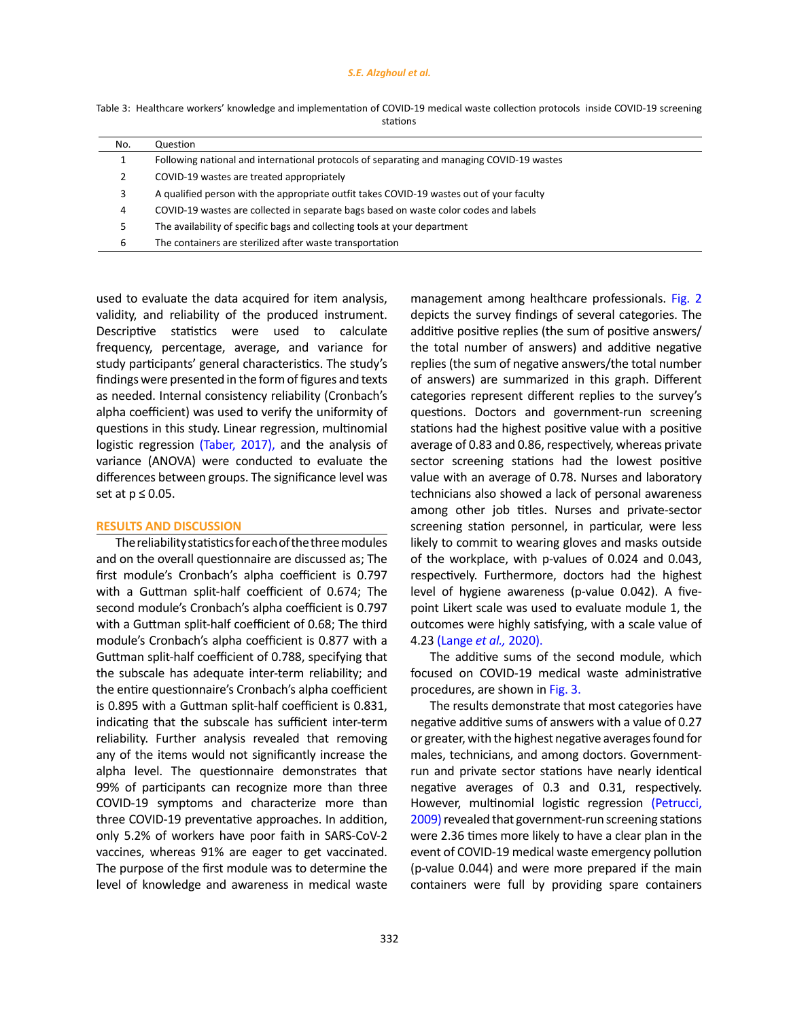#### *S.E. Alzghoul et al.*

| Table 3: Healthcare workers' knowledge and implementation of COVID-19 medical waste collection protocols inside COVID-19 screening |  |          |  |  |  |
|------------------------------------------------------------------------------------------------------------------------------------|--|----------|--|--|--|
|                                                                                                                                    |  | stations |  |  |  |

| No. | Question                                                                                  |
|-----|-------------------------------------------------------------------------------------------|
| 1   | Following national and international protocols of separating and managing COVID-19 wastes |
| 2   | COVID-19 wastes are treated appropriately                                                 |
| 3   | A qualified person with the appropriate outfit takes COVID-19 wastes out of your faculty  |
| 4   | COVID-19 wastes are collected in separate bags based on waste color codes and labels      |
| 5.  | The availability of specific bags and collecting tools at your department                 |
| 6   | The containers are sterilized after waste transportation                                  |

used to evaluate the data acquired for item analysis, validity, and reliability of the produced instrument. Descriptive statistics were used to calculate frequency, percentage, average, and variance for study participants' general characteristics. The study's findings were presented in the form of figures and texts as needed. Internal consistency reliability (Cronbach's alpha coefficient) was used to verify the uniformity of questions in this study. Linear regression, multinomial logistic regression (Taber, 2017), and the analysis of variance (ANOVA) were conducted to evaluate the differences between groups. The significance level was set at  $p \leq 0.05$ .

## **RESULTS AND DISCUSSION**

The reliability statistics for each of the three modules and on the overall questionnaire are discussed as; The first module's Cronbach's alpha coefficient is 0.797 with a Guttman split-half coefficient of 0.674; The second module's Cronbach's alpha coefficient is 0.797 with a Guttman split-half coefficient of 0.68; The third module's Cronbach's alpha coefficient is 0.877 with a Guttman split-half coefficient of 0.788, specifying that the subscale has adequate inter-term reliability; and the entire questionnaire's Cronbach's alpha coefficient is 0.895 with a Guttman split-half coefficient is 0.831, indicating that the subscale has sufficient inter-term reliability. Further analysis revealed that removing any of the items would not significantly increase the alpha level. The questionnaire demonstrates that 99% of participants can recognize more than three COVID-19 symptoms and characterize more than three COVID-19 preventative approaches. In addition, only 5.2% of workers have poor faith in SARS-CoV-2 vaccines, whereas 91% are eager to get vaccinated. The purpose of the first module was to determine the level of knowledge and awareness in medical waste management among healthcare professionals. Fig. 2 depicts the survey findings of several categories. The additive positive replies (the sum of positive answers/ the total number of answers) and additive negative replies (the sum of negative answers/the total number of answers) are summarized in this graph. Different categories represent different replies to the survey's questions. Doctors and government-run screening stations had the highest positive value with a positive average of 0.83 and 0.86, respectively, whereas private sector screening stations had the lowest positive value with an average of 0.78. Nurses and laboratory technicians also showed a lack of personal awareness among other job titles. Nurses and private-sector screening station personnel, in particular, were less likely to commit to wearing gloves and masks outside of the workplace, with p-values of 0.024 and 0.043, respectively. Furthermore, doctors had the highest level of hygiene awareness (p-value 0.042). A fivepoint Likert scale was used to evaluate module 1, the outcomes were highly satisfying, with a scale value of 4.23 (Lange *et al.,* 2020).

The additive sums of the second module, which focused on COVID-19 medical waste administrative procedures, are shown in Fig. 3.

The results demonstrate that most categories have negative additive sums of answers with a value of 0.27 or greater, with the highest negative averages found for males, technicians, and among doctors. Governmentrun and private sector stations have nearly identical negative averages of 0.3 and 0.31, respectively. However, multinomial logistic regression (Petrucci, 2009) revealed that government-run screening stations were 2.36 times more likely to have a clear plan in the event of COVID-19 medical waste emergency pollution (p-value 0.044) and were more prepared if the main containers were full by providing spare containers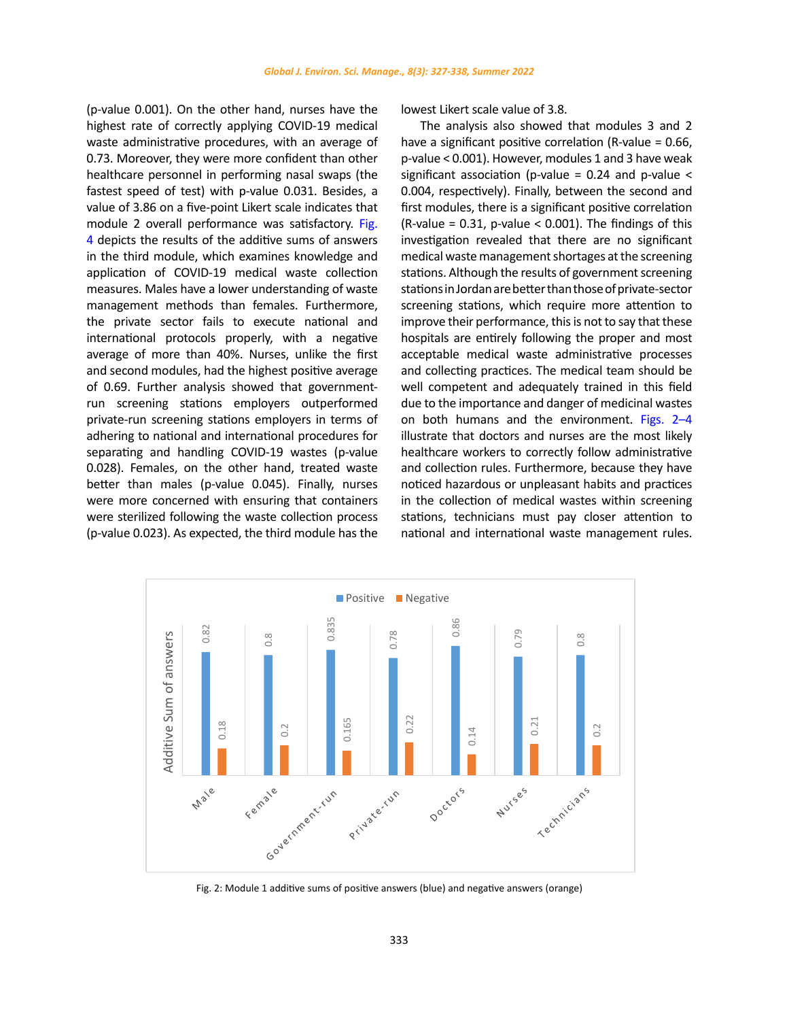(p-value 0.001). On the other hand, nurses have the highest rate of correctly applying COVID-19 medical waste administrative procedures, with an average of 0.73. Moreover, they were more confident than other healthcare personnel in performing nasal swaps (the fastest speed of test) with p-value 0.031. Besides, a value of 3.86 on a five-point Likert scale indicates that module 2 overall performance was satisfactory. Fig. 4 depicts the results of the additive sums of answers in the third module, which examines knowledge and application of COVID-19 medical waste collection measures. Males have a lower understanding of waste management methods than females. Furthermore, the private sector fails to execute national and international protocols properly, with a negative average of more than 40%. Nurses, unlike the first and second modules, had the highest positive average of 0.69. Further analysis showed that governmentrun screening stations employers outperformed private-run screening stations employers in terms of adhering to national and international procedures for separating and handling COVID-19 wastes (p-value 0.028). Females, on the other hand, treated waste better than males (p-value 0.045). Finally, nurses were more concerned with ensuring that containers were sterilized following the waste collection process (p-value 0.023). As expected, the third module has the

lowest Likert scale value of 3.8.

The analysis also showed that modules 3 and 2 have a significant positive correlation (R-value = 0.66, p-value < 0.001). However, modules 1 and 3 have weak significant association (p-value =  $0.24$  and p-value < 0.004, respectively). Finally, between the second and first modules, there is a significant positive correlation  $(R-value = 0.31$ , p-value < 0.001). The findings of this investigation revealed that there are no significant medical waste management shortages at the screening stations. Although the results of government screening stations in Jordan are better than those of private-sector screening stations, which require more attention to improve their performance, this is not to say that these hospitals are entirely following the proper and most acceptable medical waste administrative processes and collecting practices. The medical team should be well competent and adequately trained in this field due to the importance and danger of medicinal wastes on both humans and the environment. Figs. 2–4 illustrate that doctors and nurses are the most likely healthcare workers to correctly follow administrative and collection rules. Furthermore, because they have noticed hazardous or unpleasant habits and practices in the collection of medical wastes within screening stations, technicians must pay closer attention to national and international waste management rules.



Fig. 2: Module 1 additive sums of positive answers (blue) and negative answers (orange) Fig. 2: Module 1 additive sums of positive answers (blue) and negative answers (orange)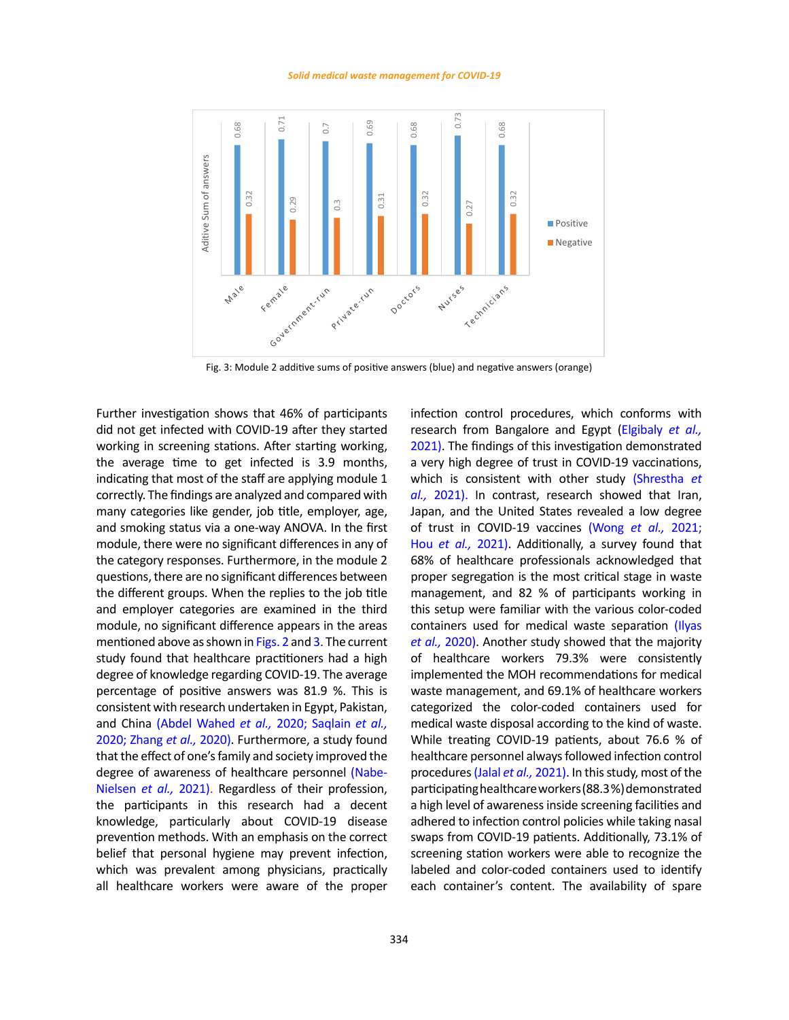#### *Solid medical waste management for COVID-19*



Fig. 3: Module 2 additive sums of positive answers (blue) and negative answers (orange)

Further investigation shows that 46% of participants did not get infected with COVID-19 after they started working in screening stations. After starting working, the average time to get infected is 3.9 months, indicating that most of the staff are applying module 1 correctly. The findings are analyzed and compared with many categories like gender, job title, employer, age, and smoking status via a one-way ANOVA. In the first module, there were no significant differences in any of the category responses. Furthermore, in the module 2 questions, there are no significant differences between the different groups. When the replies to the job title and employer categories are examined in the third module, no significant difference appears in the areas mentioned above as shown in Figs. 2 and 3. The current study found that healthcare practitioners had a high degree of knowledge regarding COVID-19. The average percentage of positive answers was 81.9 %. This is consistent with research undertaken in Egypt, Pakistan, and China (Abdel Wahed *et al.,* 2020; Saqlain *et al.,* 2020; Zhang *et al.,* 2020). Furthermore, a study found that the effect of one's family and society improved the degree of awareness of healthcare personnel (Nabe-Nielsen *et al.,* 2021). Regardless of their profession, the participants in this research had a decent knowledge, particularly about COVID-19 disease prevention methods. With an emphasis on the correct belief that personal hygiene may prevent infection, which was prevalent among physicians, practically all healthcare workers were aware of the proper

infection control procedures, which conforms with research from Bangalore and Egypt (Elgibaly *et al.,* 2021). The findings of this investigation demonstrated a very high degree of trust in COVID-19 vaccinations, which is consistent with other study (Shrestha *et al.,* 2021). In contrast, research showed that Iran, Japan, and the United States revealed a low degree of trust in COVID-19 vaccines (Wong *et al.,* 2021; Hou *et al.,* 2021). Additionally, a survey found that 68% of healthcare professionals acknowledged that proper segregation is the most critical stage in waste management, and 82 % of participants working in this setup were familiar with the various color-coded containers used for medical waste separation (Ilyas *et al.,* 2020). Another study showed that the majority of healthcare workers 79.3% were consistently implemented the MOH recommendations for medical waste management, and 69.1% of healthcare workers categorized the color-coded containers used for medical waste disposal according to the kind of waste. While treating COVID-19 patients, about 76.6 % of healthcare personnel always followed infection control procedures(Jalal *et al.,* 2021). In this study, most of the participating healthcare workers (88.3 %) demonstrated a high level of awareness inside screening facilities and adhered to infection control policies while taking nasal swaps from COVID-19 patients. Additionally, 73.1% of screening station workers were able to recognize the labeled and color-coded containers used to identify each container's content. The availability of spare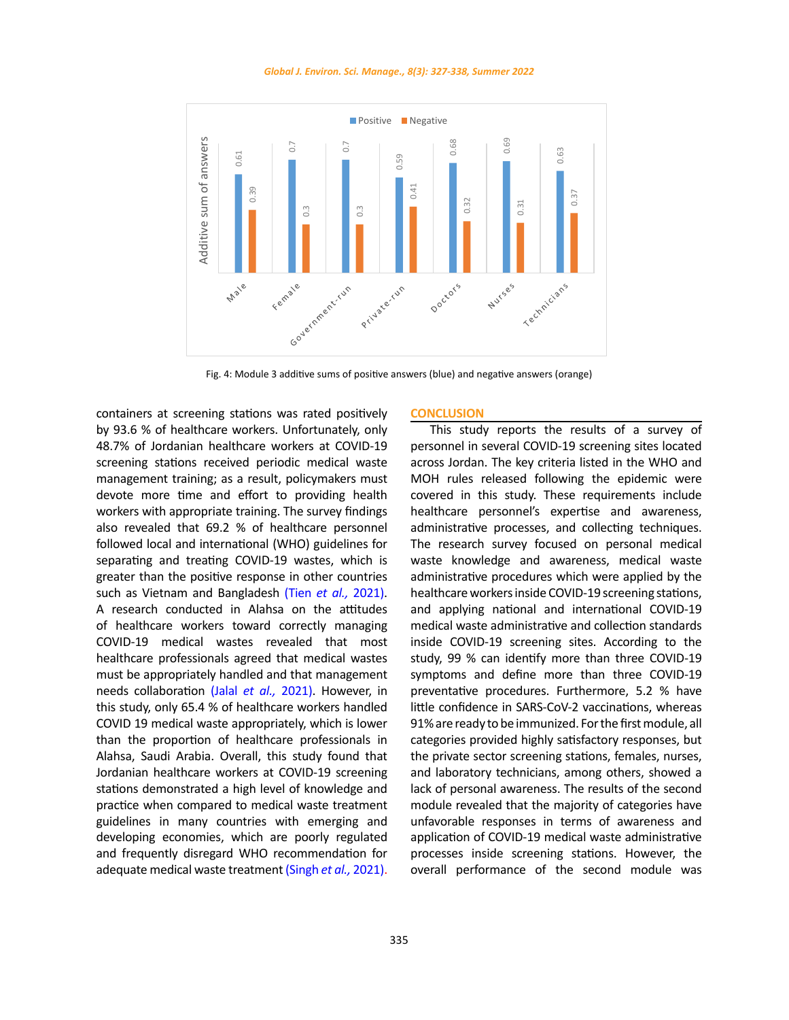*Global J. Environ. Sci. Manage., 8(3): 327-338, Summer 2022*



Fig. 4: Module 3 additive sums of positive answers (blue) and negative answers (orange)

containers at screening stations was rated positively by 93.6 % of healthcare workers. Unfortunately, only 48.7% of Jordanian healthcare workers at COVID-19 screening stations received periodic medical waste management training; as a result, policymakers must devote more time and effort to providing health workers with appropriate training. The survey findings also revealed that 69.2 % of healthcare personnel followed local and international (WHO) guidelines for separating and treating COVID-19 wastes, which is greater than the positive response in other countries such as Vietnam and Bangladesh (Tien *et al.,* 2021). A research conducted in Alahsa on the attitudes of healthcare workers toward correctly managing COVID-19 medical wastes revealed that most healthcare professionals agreed that medical wastes must be appropriately handled and that management needs collaboration (Jalal *et al.,* 2021). However, in this study, only 65.4 % of healthcare workers handled COVID 19 medical waste appropriately, which is lower than the proportion of healthcare professionals in Alahsa, Saudi Arabia. Overall, this study found that Jordanian healthcare workers at COVID-19 screening stations demonstrated a high level of knowledge and practice when compared to medical waste treatment guidelines in many countries with emerging and developing economies, which are poorly regulated and frequently disregard WHO recommendation for adequate medical waste treatment (Singh *et al.,* 2021).

### **CONCLUSION**

This study reports the results of a survey of personnel in several COVID-19 screening sites located across Jordan. The key criteria listed in the WHO and MOH rules released following the epidemic were covered in this study. These requirements include healthcare personnel's expertise and awareness, administrative processes, and collecting techniques. The research survey focused on personal medical waste knowledge and awareness, medical waste administrative procedures which were applied by the healthcare workers inside COVID-19 screening stations, and applying national and international COVID-19 medical waste administrative and collection standards inside COVID-19 screening sites. According to the study, 99 % can identify more than three COVID-19 symptoms and define more than three COVID-19 preventative procedures. Furthermore, 5.2 % have little confidence in SARS-CoV-2 vaccinations, whereas 91% are ready to be immunized. For the first module, all categories provided highly satisfactory responses, but the private sector screening stations, females, nurses, and laboratory technicians, among others, showed a lack of personal awareness. The results of the second module revealed that the majority of categories have unfavorable responses in terms of awareness and application of COVID-19 medical waste administrative processes inside screening stations. However, the overall performance of the second module was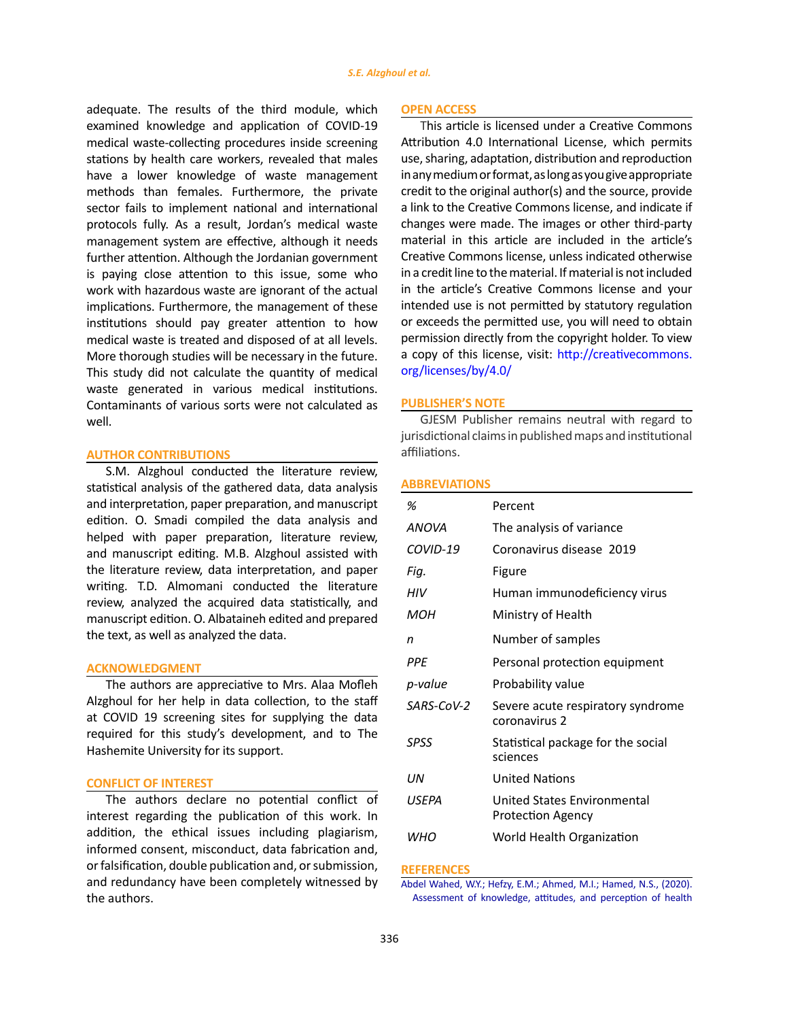adequate. The results of the third module, which examined knowledge and application of COVID-19 medical waste-collecting procedures inside screening stations by health care workers, revealed that males have a lower knowledge of waste management methods than females. Furthermore, the private sector fails to implement national and international protocols fully. As a result, Jordan's medical waste management system are effective, although it needs further attention. Although the Jordanian government is paying close attention to this issue, some who work with hazardous waste are ignorant of the actual implications. Furthermore, the management of these institutions should pay greater attention to how medical waste is treated and disposed of at all levels. More thorough studies will be necessary in the future. This study did not calculate the quantity of medical waste generated in various medical institutions. Contaminants of various sorts were not calculated as well.

## **AUTHOR CONTRIBUTIONS**

S.M. Alzghoul conducted the literature review, statistical analysis of the gathered data, data analysis and interpretation, paper preparation, and manuscript edition. O. Smadi compiled the data analysis and helped with paper preparation, literature review, and manuscript editing. M.B. Alzghoul assisted with the literature review, data interpretation, and paper writing. T.D. Almomani conducted the literature review, analyzed the acquired data statistically, and manuscript edition. O. Albataineh edited and prepared the text, as well as analyzed the data.

## **ACKNOWLEDGMENT**

The authors are appreciative to Mrs. Alaa Mofleh Alzghoul for her help in data collection, to the staff at COVID 19 screening sites for supplying the data required for this study's development, and to The Hashemite University for its support.

# **CONFLICT OF INTEREST**

The authors declare no potential conflict of interest regarding the publication of this work. In addition, the ethical issues including plagiarism, informed consent, misconduct, data fabrication and, or falsification, double publication and, or submission, and redundancy have been completely witnessed by the authors.

#### **OPEN ACCESS**

This article is licensed under a Creative Commons Attribution 4.0 International License, which permits use, sharing, adaptation, distribution and reproduction in any medium or format, as long as you give appropriate credit to the original author(s) and the source, provide a link to the Creative Commons license, and indicate if changes were made. The images or other third-party material in this article are included in the article's Creative Commons license, unless indicated otherwise in a credit line to the material. If material is not included in the article's Creative Commons license and your intended use is not permitted by statutory regulation or exceeds the permitted use, you will need to obtain permission directly from the copyright holder. To view a copy of this license, visit: [http://creativecommons.](http://creativecommons.org/licenses/by/4.0/) [org/licenses/by/4.0/](http://creativecommons.org/licenses/by/4.0/)

## **PUBLISHER'S NOTE**

GJESM Publisher remains neutral with regard to jurisdictional claims in published maps and institutional affiliations.

## **ABBREVIATIONS**

| ℅            | Percent                                            |
|--------------|----------------------------------------------------|
| <b>ANOVA</b> | The analysis of variance                           |
| COVID-19     | Coronavirus disease 2019                           |
| Fiq.         | Figure                                             |
| HIV          | Human immunodeficiency virus                       |
| MOH          | Ministry of Health                                 |
| n            | Number of samples                                  |
| PPF          | Personal protection equipment                      |
| p-value      | Probability value                                  |
| SARS-CoV-2   | Severe acute respiratory syndrome<br>coronavirus 2 |
| SPSS         | Statistical package for the social<br>sciences     |
| IJΝ          | <b>United Nations</b>                              |
| USEPA        | United States Environmental<br>Protection Agency   |
| WНO          | World Health Organization                          |

#### **REFERENCES**

[Abdel Wahed, W.Y.; Hefzy, E.M.; Ahmed, M.I.; Hamed, N.S., \(2020\).](https://link.springer.com/article/10.1007%2Fs10900-020-00882-0) [Assessment of knowledge, attitudes, and perception of health](https://link.springer.com/article/10.1007%2Fs10900-020-00882-0)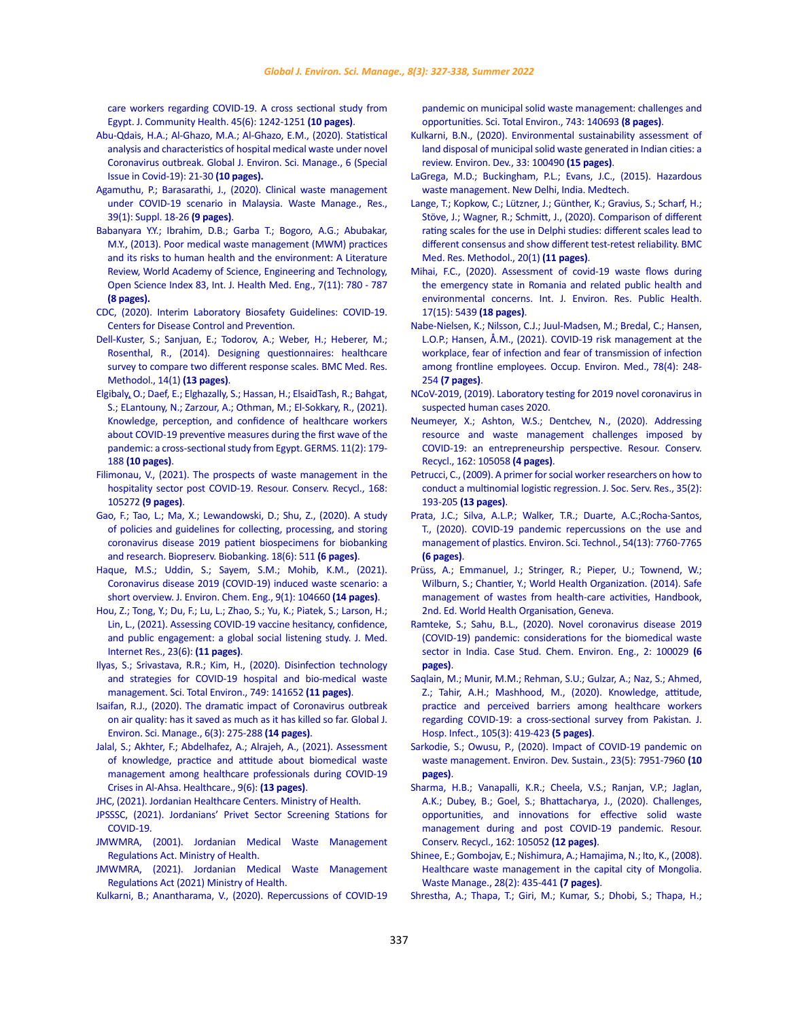[care workers regarding COVID-19. A cross sectional study from](https://link.springer.com/article/10.1007%2Fs10900-020-00882-0)  [Egypt. J. Community Health. 45\(6\): 1242-1251](https://link.springer.com/article/10.1007%2Fs10900-020-00882-0) **(10 pages)**.

- [Abu-Qdais, H.A.; Al-Ghazo, M.A.; Al-Ghazo, E.M., \(2020\). Statistical](https://www.gjesm.net/article_38982.html)  [analysis and characteristics of hospital medical waste under novel](https://www.gjesm.net/article_38982.html)  [Coronavirus outbreak. Global J. Environ. Sci. Manage., 6 \(Special](https://www.gjesm.net/article_38982.html)  [Issue in Covid-19\): 21-30](https://www.gjesm.net/article_38982.html) **(10 pages).**
- [Agamuthu, P.; Barasarathi, J., \(2020\). Clinical waste management](https://journals.sagepub.com/doi/10.1177/0734242X20959701)  [under COVID-19 scenario in Malaysia. Waste Manage., Res.,](https://journals.sagepub.com/doi/10.1177/0734242X20959701)  [39\(1\): Suppl. 18-26](https://journals.sagepub.com/doi/10.1177/0734242X20959701) **(9 pages)**.
- [Babanyara Y.Y.; Ibrahim, D.B.; Garba T.; Bogoro, A.G.; Abubakar,](https://publications.waset.org/9996582/poor-medical-waste-management-mwm-practices-and-its-risks-to-human-health-and-the-environment-a-literature-review)  [M.Y., \(2013\). Poor medical waste management \(MWM\) practices](https://publications.waset.org/9996582/poor-medical-waste-management-mwm-practices-and-its-risks-to-human-health-and-the-environment-a-literature-review)  [and its risks to human health and the environment: A Literature](https://publications.waset.org/9996582/poor-medical-waste-management-mwm-practices-and-its-risks-to-human-health-and-the-environment-a-literature-review)  [Review, World Academy of Science, Engineering and Technology,](https://publications.waset.org/9996582/poor-medical-waste-management-mwm-practices-and-its-risks-to-human-health-and-the-environment-a-literature-review)  [Open Science Index 83, Int. J. Health Med. Eng., 7\(11\): 780 - 787](https://publications.waset.org/9996582/poor-medical-waste-management-mwm-practices-and-its-risks-to-human-health-and-the-environment-a-literature-review)  **[\(8 pages\).](https://publications.waset.org/9996582/poor-medical-waste-management-mwm-practices-and-its-risks-to-human-health-and-the-environment-a-literature-review)**
- [CDC, \(2020\). Interim Laboratory Biosafety Guidelines: COVID-19.](https://www.cdc.gov/coronavirus/2019-ncov/lab/lab-biosafety-guidelines.html)  [Centers for Disease Control and Prevention.](https://www.cdc.gov/coronavirus/2019-ncov/lab/lab-biosafety-guidelines.html)
- [Dell-Kuster, S.; Sanjuan, E.; Todorov, A.; Weber, H.; Heberer, M.;](https://bmcmedresmethodol.biomedcentral.com/articles/10.1186/1471-2288-14-96)  [Rosenthal, R., \(2014\). Designing questionnaires: healthcare](https://bmcmedresmethodol.biomedcentral.com/articles/10.1186/1471-2288-14-96)  [survey to compare two different response scales. BMC Med. Res.](https://bmcmedresmethodol.biomedcentral.com/articles/10.1186/1471-2288-14-96)  [Methodol., 14\(1\)](https://bmcmedresmethodol.biomedcentral.com/articles/10.1186/1471-2288-14-96) **(13 pages)**.
- [Elgibaly, O.; Daef, E.; Elghazally, S.; Hassan, H.; ElsaidTash, R.; Bahgat,](http://www.germs.ro/en/Articles/Knowledge-perception-and-confidence-of-healthcare-workers-about-COVID-19-preventive-measures-during-the-first-wave-of-the-pandemic-a-cross-sectional-study-from-Egypt-1415)  [S.; ELantouny, N.; Zarzour, A.; Othman, M.; El-Sokkary, R., \(2021\).](http://www.germs.ro/en/Articles/Knowledge-perception-and-confidence-of-healthcare-workers-about-COVID-19-preventive-measures-during-the-first-wave-of-the-pandemic-a-cross-sectional-study-from-Egypt-1415)  [Knowledge, perception, and confidence of healthcare workers](http://www.germs.ro/en/Articles/Knowledge-perception-and-confidence-of-healthcare-workers-about-COVID-19-preventive-measures-during-the-first-wave-of-the-pandemic-a-cross-sectional-study-from-Egypt-1415)  [about COVID-19 preventive measures during the first wave of the](http://www.germs.ro/en/Articles/Knowledge-perception-and-confidence-of-healthcare-workers-about-COVID-19-preventive-measures-during-the-first-wave-of-the-pandemic-a-cross-sectional-study-from-Egypt-1415)  [pandemic: a cross-sectional study from Egypt. GERMS. 11\(2\): 179-](http://www.germs.ro/en/Articles/Knowledge-perception-and-confidence-of-healthcare-workers-about-COVID-19-preventive-measures-during-the-first-wave-of-the-pandemic-a-cross-sectional-study-from-Egypt-1415) 188 **[\(10 pages\)](http://www.germs.ro/en/Articles/Knowledge-perception-and-confidence-of-healthcare-workers-about-COVID-19-preventive-measures-during-the-first-wave-of-the-pandemic-a-cross-sectional-study-from-Egypt-1415)**.
- [Filimonau, V., \(2021\). The prospects of waste management in the](https://www.sciencedirect.com/science/article/pii/S0921344920305875?via%3Dihub)  [hospitality sector post COVID-19. Resour. Conserv. Recycl., 168:](https://www.sciencedirect.com/science/article/pii/S0921344920305875?via%3Dihub)  105272 **[\(9 pages\)](https://www.sciencedirect.com/science/article/pii/S0921344920305875?via%3Dihub)**.
- [Gao, F.; Tao, L.; Ma, X.; Lewandowski, D.; Shu, Z., \(2020\). A study](https://www.liebertpub.com/doi/10.1089/bio.2020.0099?url_ver=Z39.882003&rfr_id=ori%3Arid%3Acrossref.org&rfr_dat=cr_pub++0pubmed)  [of policies and guidelines for collecting, processing, and storing](https://www.liebertpub.com/doi/10.1089/bio.2020.0099?url_ver=Z39.882003&rfr_id=ori%3Arid%3Acrossref.org&rfr_dat=cr_pub++0pubmed)  [coronavirus disease 2019 patient biospecimens for biobanking](https://www.liebertpub.com/doi/10.1089/bio.2020.0099?url_ver=Z39.882003&rfr_id=ori%3Arid%3Acrossref.org&rfr_dat=cr_pub++0pubmed)  [and research. Biopreserv. Biobanking. 18\(6\): 511](https://www.liebertpub.com/doi/10.1089/bio.2020.0099?url_ver=Z39.882003&rfr_id=ori%3Arid%3Acrossref.org&rfr_dat=cr_pub++0pubmed) **(6 pages)**.
- [Haque, M.S.; Uddin, S.; Sayem, S.M.; Mohib, K.M., \(2021\).](https://www.sciencedirect.com/science/article/pii/S2213343720310095?via%3Dihub)  [Coronavirus disease 2019 \(COVID-19\) induced waste scenario: a](https://www.sciencedirect.com/science/article/pii/S2213343720310095?via%3Dihub)  [short overview. J. Environ. Chem. Eng., 9\(1\): 104660](https://www.sciencedirect.com/science/article/pii/S2213343720310095?via%3Dihub) **(14 pages)**.
- [Hou, Z.; Tong, Y.; Du, F.; Lu, L.; Zhao, S.; Yu, K.; Piatek, S.; Larson, H.;](https://www.jmir.org/2021/6/e27632)  [Lin, L., \(2021\). Assessing COVID-19 vaccine hesitancy, confidence,](https://www.jmir.org/2021/6/e27632)  [and public engagement: a global social listening study. J. Med.](https://www.jmir.org/2021/6/e27632)  [Internet Res., 23\(6\):](https://www.jmir.org/2021/6/e27632) **(11 pages)**.
- [Ilyas, S.; Srivastava, R.R.; Kim, H., \(2020\). Disinfection technology](https://www.sciencedirect.com/science/article/pii/S0048969720351810?via%3Dihub)  [and strategies for COVID-19 hospital and bio-medical waste](https://www.sciencedirect.com/science/article/pii/S0048969720351810?via%3Dihub)  [management. Sci. Total Environ., 749: 141652](https://www.sciencedirect.com/science/article/pii/S0048969720351810?via%3Dihub) **(11 pages)**.
- [Isaifan, R.J., \(2020\). The dramatic impact of Coronavirus outbreak](https://www.gjesm.net/article_38731.html)  [on air quality: has it saved as much as it has killed so far. Global J.](https://www.gjesm.net/article_38731.html)  [Environ. Sci. Manage., 6\(3\): 275-288](https://www.gjesm.net/article_38731.html) **(14 pages)**.
- [Jalal, S.; Akhter, F.; Abdelhafez, A.; Alrajeh, A., \(2021\). Assessment](https://www.mdpi.com/2227-9032/9/6/747)  [of knowledge, practice and attitude about biomedical waste](https://www.mdpi.com/2227-9032/9/6/747)  [management among healthcare professionals during COVID-19](https://www.mdpi.com/2227-9032/9/6/747)  [Crises in Al-Ahsa. Healthcare., 9\(6\):](https://www.mdpi.com/2227-9032/9/6/747) **(13 pages)**.
- [JHC, \(2021\). Jordanian Healthcare Centers. Ministry of Health.](https://www.moh.gov.jo/EN/List/Health_Centers)
- [JPSSSC, \(2021\). Jordanians' Privet Sector Screening Stations for](https://corona.moh.gov.jo/ar/page/1057/Laboratories)  [COVID-19.](https://corona.moh.gov.jo/ar/page/1057/Laboratories)
- [JMWMRA, \(2001\). Jordanian Medical Waste Management](http://www.moh.gov.jo)  [Regulations Act. Ministry of Health.](http://www.moh.gov.jo)
- [JMWMRA, \(2021\). Jordanian Medical Waste Management](http://www.moh.gov.jo)  [Regulations Act \(2021\) Ministry of Health.](http://www.moh.gov.jo)
- [Kulkarni, B.; Anantharama, V., \(2020\). Repercussions of COVID-19](https://www.ncbi.nlm.nih.gov/pmc/articles/PMC7331525/)

[pandemic on municipal solid waste management: challenges and](https://www.ncbi.nlm.nih.gov/pmc/articles/PMC7331525/) [opportunities. Sci. Total Environ., 743: 140693](https://www.ncbi.nlm.nih.gov/pmc/articles/PMC7331525/) **(8 pages)**.

- [Kulkarni, B.N., \(2020\). Environmental sustainability assessment of](https://www.sciencedirect.com/science/article/abs/pii/S2211464519300466) [land disposal of municipal solid waste generated in Indian cities: a](https://www.sciencedirect.com/science/article/abs/pii/S2211464519300466) [review. Environ. Dev., 33: 100490](https://www.sciencedirect.com/science/article/abs/pii/S2211464519300466) **(15 pages)**.
- [LaGrega, M.D.; Buckingham, P.L.; Evans, J.C., \(2015\). Hazardous](https://www.amazon.com/Hazardous-Waste-Management-Michael-LaGrega/dp/1577666933) [waste management. New Delhi, India. Medtech.](https://www.amazon.com/Hazardous-Waste-Management-Michael-LaGrega/dp/1577666933)
- [Lange, T.; Kopkow, C.; Lützner, J.; Günther, K.; Gravius, S.; Scharf, H.;](https://bmcmedresmethodol.biomedcentral.com/articles/10.1186/s12874-020-0912-8) [Stöve, J.; Wagner, R.; Schmitt, J., \(2020\). Comparison of different](https://bmcmedresmethodol.biomedcentral.com/articles/10.1186/s12874-020-0912-8) [rating scales for the use in Delphi studies: different scales lead to](https://bmcmedresmethodol.biomedcentral.com/articles/10.1186/s12874-020-0912-8) [different consensus and show different test-retest reliability. BMC](https://bmcmedresmethodol.biomedcentral.com/articles/10.1186/s12874-020-0912-8) [Med. Res. Methodol., 20\(1\)](https://bmcmedresmethodol.biomedcentral.com/articles/10.1186/s12874-020-0912-8) **(11 pages)**.
- [Mihai, F.C., \(2020\). Assessment of covid-19 waste flows during](https://www.mdpi.com/1660-4601/17/15/5439) [the emergency state in Romania and related public health and](https://www.mdpi.com/1660-4601/17/15/5439) [environmental concerns. Int. J. Environ. Res. Public Health.](https://www.mdpi.com/1660-4601/17/15/5439) [17\(15\): 5439](https://www.mdpi.com/1660-4601/17/15/5439) **(18 pages)**.
- [Nabe-Nielsen, K.; Nilsson, C.J.; Juul-Madsen, M.; Bredal, C.; Hansen,](https://oem.bmj.com/content/78/4/248) [L.O.P.; Hansen, Å.M., \(2021\). COVID-19 risk management at the](https://oem.bmj.com/content/78/4/248) [workplace, fear of infection and fear of transmission of infection](https://oem.bmj.com/content/78/4/248) [among frontline employees. Occup. Environ. Med., 78\(4\): 248-](https://oem.bmj.com/content/78/4/248) 254 **[\(7 pages\)](https://oem.bmj.com/content/78/4/248)**.
- [NCoV-2019, \(2019\). Laboratory testing for 2019 novel coronavirus in](https://www.who.int/publications/i/item/10665-331501) [suspected human cases 2020.](https://www.who.int/publications/i/item/10665-331501)
- [Neumeyer, X.; Ashton, W.S.; Dentchev, N., \(2020\). Addressing](https://www.sciencedirect.com/science/article/pii/S092134492030375X?via%3Dihub) [resource and waste management challenges imposed by](https://www.sciencedirect.com/science/article/pii/S092134492030375X?via%3Dihub) [COVID-19: an entrepreneurship perspective. Resour. Conserv.](https://www.sciencedirect.com/science/article/pii/S092134492030375X?via%3Dihub) [Recycl., 162: 105058](https://www.sciencedirect.com/science/article/pii/S092134492030375X?via%3Dihub) **(4 pages)**.
- [Petrucci, C., \(2009\). A primer for social worker researchers on how to](https://www.tandfonline.com/doi/full/10.1080/01488370802678983) [conduct a multinomial logistic regression. J. Soc. Serv. Res., 35\(2\):](https://www.tandfonline.com/doi/full/10.1080/01488370802678983) 193-205 **[\(13 pages\)](https://www.tandfonline.com/doi/full/10.1080/01488370802678983)**.
- [Prata, J.C.; Silva, A.L.P.; Walker, T.R.; Duarte, A.C.;Rocha-Santos,](https://pubs.acs.org/doi/10.1021/acs.est.0c02178) [T., \(2020\). COVID-19 pandemic repercussions on the use and](https://pubs.acs.org/doi/10.1021/acs.est.0c02178) [management of plastics. Environ. Sci. Technol., 54\(13\): 7760-7765](https://pubs.acs.org/doi/10.1021/acs.est.0c02178) **[\(6 pages\)](https://pubs.acs.org/doi/10.1021/acs.est.0c02178)**.
- [Prüss, A.; Emmanuel, J.; Stringer, R.; Pieper, U.; Townend, W.;](https://apps.who.int/iris/handle/10665/85349) [Wilburn, S.; Chantier, Y.; World Health Organization. \(2014\). Safe](https://apps.who.int/iris/handle/10665/85349) [management of wastes from health-care activities, Handbook,](https://apps.who.int/iris/handle/10665/85349) [2nd. Ed. World Health Organisation, Geneva.](https://apps.who.int/iris/handle/10665/85349)
- [Ramteke, S.; Sahu, B.L., \(2020\). Novel coronavirus disease 2019](https://www.sciencedirect.com/science/article/pii/S266601642030027X) [\(COVID-19\) pandemic: considerations for the biomedical waste](https://www.sciencedirect.com/science/article/pii/S266601642030027X) [sector in India. Case Stud. Chem. Environ. Eng., 2: 100029](https://www.sciencedirect.com/science/article/pii/S266601642030027X) **(6 [pages\)](https://www.sciencedirect.com/science/article/pii/S266601642030027X)**.
- [Saqlain, M.; Munir, M.M.; Rehman, S.U.; Gulzar, A.; Naz, S.; Ahmed,](https://www.journalofhospitalinfection.com/article/S0195-6701(20)30238-3/fulltext) [Z.; Tahir, A.H.; Mashhood, M., \(2020\). Knowledge, attitude,](https://www.journalofhospitalinfection.com/article/S0195-6701(20)30238-3/fulltext) [practice and perceived barriers among healthcare workers](https://www.journalofhospitalinfection.com/article/S0195-6701(20)30238-3/fulltext) [regarding COVID-19: a cross-sectional survey from Pakistan. J.](https://www.journalofhospitalinfection.com/article/S0195-6701(20)30238-3/fulltext) [Hosp. Infect., 105\(3\): 419-423](https://www.journalofhospitalinfection.com/article/S0195-6701(20)30238-3/fulltext) **(5 pages)**.
- [Sarkodie, S.; Owusu, P., \(2020\). Impact of COVID-19 pandemic on](https://link.springer.com/article/10.1007/s10668-020-00956-y) [waste management. Environ. Dev. Sustain., 23\(5\): 7951-7960](https://link.springer.com/article/10.1007/s10668-020-00956-y) **(10 [pages\)](https://link.springer.com/article/10.1007/s10668-020-00956-y)**.
- [Sharma, H.B.; Vanapalli, K.R.; Cheela, V.S.; Ranjan, V.P.; Jaglan,](https://www.sciencedirect.com/science/article/pii/S0921344920303694) [A.K.; Dubey, B.; Goel, S.; Bhattacharya, J., \(2020\). Challenges,](https://www.sciencedirect.com/science/article/pii/S0921344920303694) [opportunities, and innovations for effective solid waste](https://www.sciencedirect.com/science/article/pii/S0921344920303694) [management during and post COVID-19 pandemic. Resour.](https://www.sciencedirect.com/science/article/pii/S0921344920303694) [Conserv. Recycl., 162: 105052](https://www.sciencedirect.com/science/article/pii/S0921344920303694) **(12 pages)**.
- [Shinee, E.; Gombojav, E.; Nishimura, A.; Hamajima, N.; Ito, K., \(2008\).](https://www.sciencedirect.com/science/article/abs/pii/S0956053X07000931?via%3Dihub) [Healthcare waste management in the capital city of Mongolia.](https://www.sciencedirect.com/science/article/abs/pii/S0956053X07000931?via%3Dihub) [Waste Manage., 28\(2\): 435-441](https://www.sciencedirect.com/science/article/abs/pii/S0956053X07000931?via%3Dihub) **(7 pages)**.
- [Shrestha, A.; Thapa, T.; Giri, M.; Kumar, S.; Dhobi, S.; Thapa, H.;](https://bmcpublichealth.biomedcentral.com/articles/10.1186/s12889-021-11400-9)